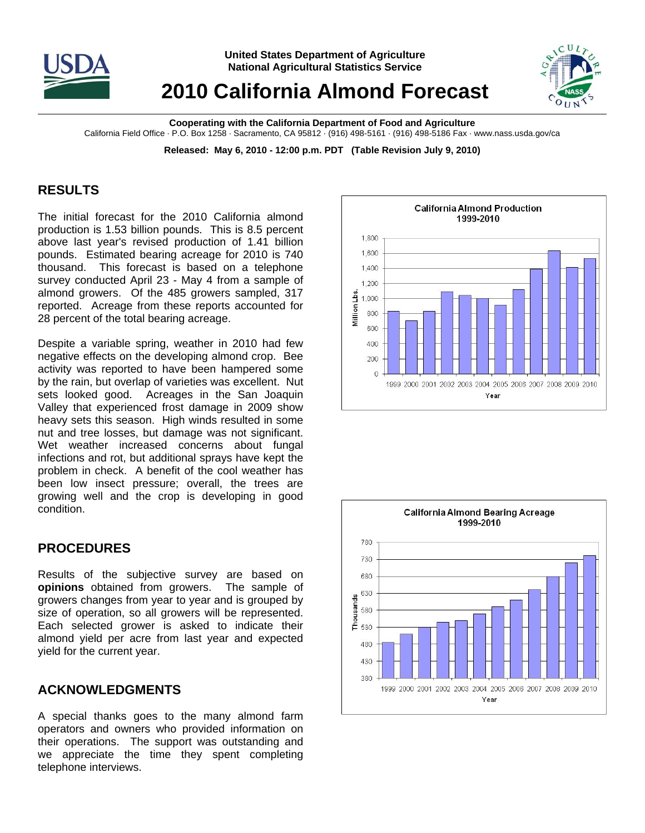

**United States Department of Agriculture National Agricultural Statistics Service**

# **2010 California Almond Forecast**



**Cooperating with the California Department of Food and Agriculture**  California Field Office · P.O. Box 1258 · Sacramento, CA 95812 · (916) 498-5161 · (916) 498-5186 Fax · www.nass.usda.gov/ca

**Released: May 6, 2010 - 12:00 p.m. PDT (Table Revision July 9, 2010)** 

## **RESULTS**

The initial forecast for the 2010 California almond production is 1.53 billion pounds. This is 8.5 percent above last year's revised production of 1.41 billion pounds. Estimated bearing acreage for 2010 is 740 thousand. This forecast is based on a telephone survey conducted April 23 - May 4 from a sample of almond growers. Of the 485 growers sampled, 317 reported. Acreage from these reports accounted for 28 percent of the total bearing acreage.

Despite a variable spring, weather in 2010 had few negative effects on the developing almond crop. Bee activity was reported to have been hampered some by the rain, but overlap of varieties was excellent. Nut sets looked good. Acreages in the San Joaquin Valley that experienced frost damage in 2009 show heavy sets this season. High winds resulted in some nut and tree losses, but damage was not significant. Wet weather increased concerns about fungal infections and rot, but additional sprays have kept the problem in check. A benefit of the cool weather has been low insect pressure; overall, the trees are growing well and the crop is developing in good condition.

### **PROCEDURES**

Results of the subjective survey are based on **opinions** obtained from growers. The sample of growers changes from year to year and is grouped by size of operation, so all growers will be represented. Each selected grower is asked to indicate their almond yield per acre from last year and expected yield for the current year.

### **ACKNOWLEDGMENTS**

A special thanks goes to the many almond farm operators and owners who provided information on their operations. The support was outstanding and we appreciate the time they spent completing telephone interviews.